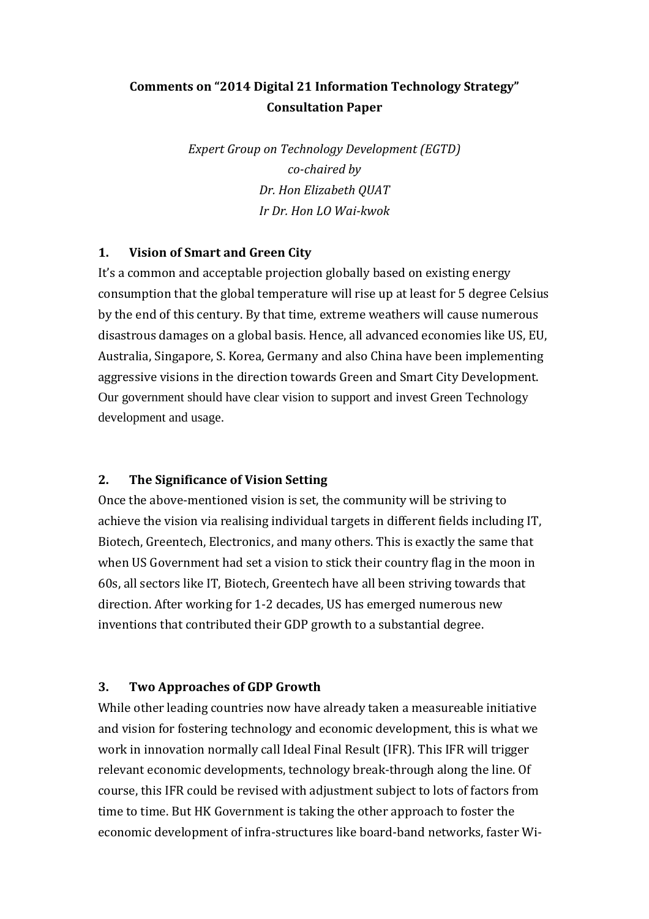# **Comments on "2014 Digital 21 Information Technology Strategy" Consultation Paper**

*Expert Group on Technology Development (EGTD) co-chaired by Dr. Hon Elizabeth QUAT Ir Dr. Hon LO Wai-kwok*

#### **1. Vision of Smart and Green City**

It's a common and acceptable projection globally based on existing energy consumption that the global temperature will rise up at least for 5 degree Celsius by the end of this century. By that time, extreme weathers will cause numerous disastrous damages on a global basis. Hence, all advanced economies like US, EU, Australia, Singapore, S. Korea, Germany and also China have been implementing aggressive visions in the direction towards Green and Smart City Development. Our government should have clear vision to support and invest Green Technology development and usage.

## **2. The Significance of Vision Setting**

Once the above-mentioned vision is set, the community will be striving to achieve the vision via realising individual targets in different fields including IT, Biotech, Greentech, Electronics, and many others. This is exactly the same that when US Government had set a vision to stick their country flag in the moon in 60s, all sectors like IT, Biotech, Greentech have all been striving towards that direction. After working for 1-2 decades, US has emerged numerous new inventions that contributed their GDP growth to a substantial degree.

#### **3. Two Approaches of GDP Growth**

While other leading countries now have already taken a measureable initiative and vision for fostering technology and economic development, this is what we work in innovation normally call Ideal Final Result (IFR). This IFR will trigger relevant economic developments, technology break-through along the line. Of course, this IFR could be revised with adjustment subject to lots of factors from time to time. But HK Government is taking the other approach to foster the economic development of infra-structures like board-band networks, faster Wi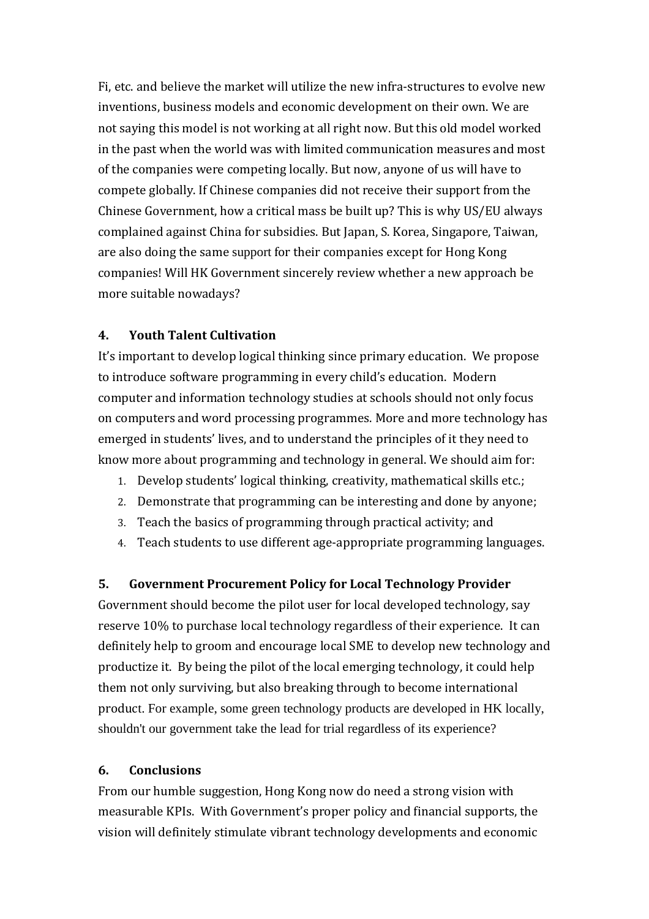Fi, etc. and believe the market will utilize the new infra-structures to evolve new inventions, business models and economic development on their own. We are not saying this model is not working at all right now. But this old model worked in the past when the world was with limited communication measures and most of the companies were competing locally. But now, anyone of us will have to compete globally. If Chinese companies did not receive their support from the Chinese Government, how a critical mass be built up? This is why US/EU always complained against China for subsidies. But Japan, S. Korea, Singapore, Taiwan, are also doing the same support for their companies except for Hong Kong companies! Will HK Government sincerely review whether a new approach be more suitable nowadays?

## **4. Youth Talent Cultivation**

It's important to develop logical thinking since primary education. We propose to introduce software programming in every child's education. Modern computer and information technology studies at schools should not only focus on computers and word processing programmes. More and more technology has emerged in students' lives, and to understand the principles of it they need to know more about programming and technology in general. We should aim for:

- 1. Develop students' logical thinking, creativity, mathematical skills etc.;
- 2. Demonstrate that programming can be interesting and done by anyone;
- 3. Teach the basics of programming through practical activity; and
- 4. Teach students to use different age-appropriate programming languages.

## **5. Government Procurement Policy for Local Technology Provider**

Government should become the pilot user for local developed technology, say reserve 10% to purchase local technology regardless of their experience. It can definitely help to groom and encourage local SME to develop new technology and productize it. By being the pilot of the local emerging technology, it could help them not only surviving, but also breaking through to become international product. For example, some green technology products are developed in HK locally, shouldn't our government take the lead for trial regardless of its experience?

## **6. Conclusions**

From our humble suggestion, Hong Kong now do need a strong vision with measurable KPIs. With Government's proper policy and financial supports, the vision will definitely stimulate vibrant technology developments and economic